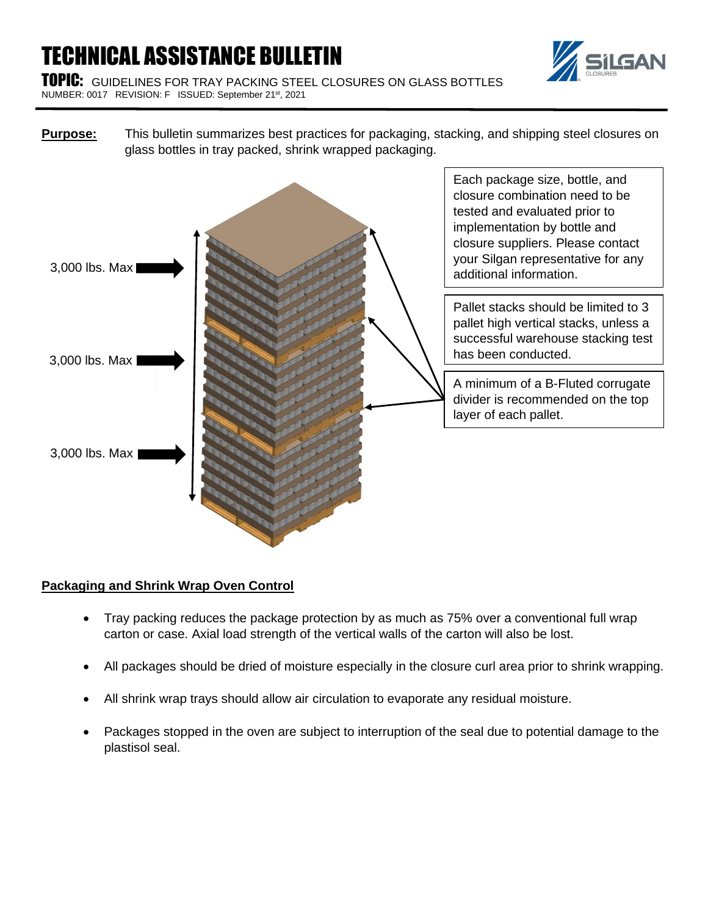# TECHNICAL ASSISTANCE BULLETIN





**Purpose:** This bulletin summarizes best practices for packaging, stacking, and shipping steel closures on glass bottles in tray packed, shrink wrapped packaging.



## **Packaging and Shrink Wrap Oven Control**

- Tray packing reduces the package protection by as much as 75% over a conventional full wrap carton or case. Axial load strength of the vertical walls of the carton will also be lost.
- All packages should be dried of moisture especially in the closure curl area prior to shrink wrapping.
- All shrink wrap trays should allow air circulation to evaporate any residual moisture.
- Packages stopped in the oven are subject to interruption of the seal due to potential damage to the plastisol seal.